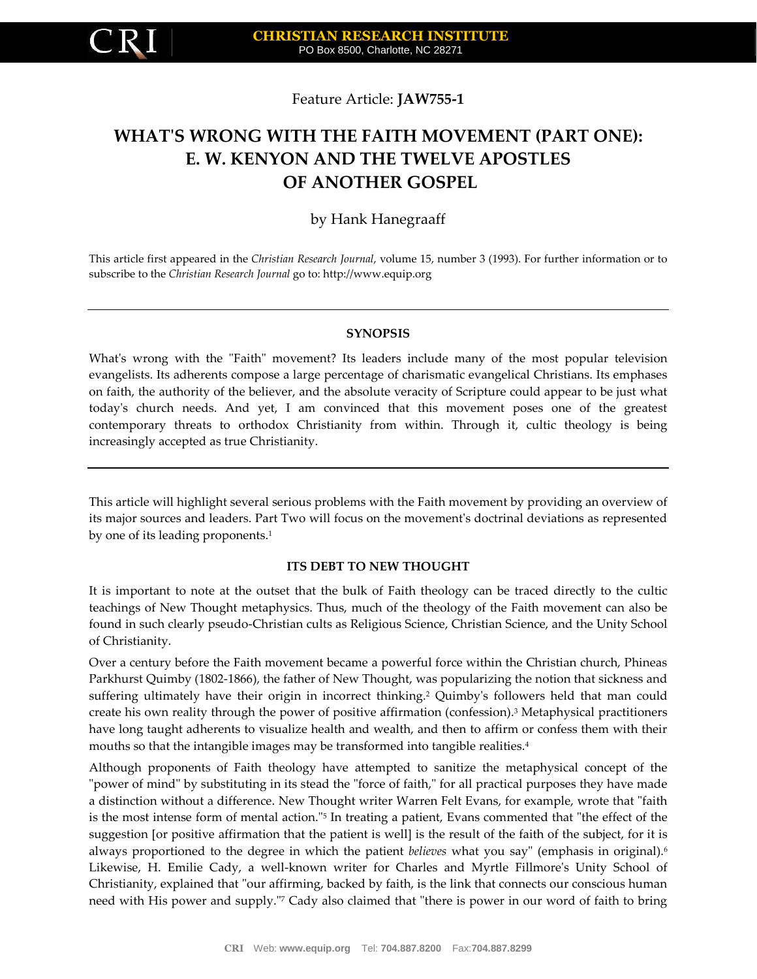

Feature Article: **JAW755-1**

# **WHAT'S WRONG WITH THE FAITH MOVEMENT (PART ONE): E. W. KENYON AND THE TWELVE APOSTLES OF ANOTHER GOSPEL**

# by Hank Hanegraaff

This article first appeared in the *Christian Research Journal*, volume 15, number 3 (1993). For further information or to subscribe to the *Christian Research Journal* go to: [http://www.equip.org](http://www.equip.org/)

## **SYNOPSIS**

What's wrong with the "Faith" movement? Its leaders include many of the most popular television evangelists. Its adherents compose a large percentage of charismatic evangelical Christians. Its emphases on faith, the authority of the believer, and the absolute veracity of Scripture could appear to be just what today's church needs. And yet, I am convinced that this movement poses one of the greatest contemporary threats to orthodox Christianity from within. Through it, cultic theology is being increasingly accepted as true Christianity.

This article will highlight several serious problems with the Faith movement by providing an overview of its major sources and leaders. Part Two will focus on the movement's doctrinal deviations as represented by one of its leading proponents.<sup>1</sup>

## **ITS DEBT TO NEW THOUGHT**

It is important to note at the outset that the bulk of Faith theology can be traced directly to the cultic teachings of New Thought metaphysics. Thus, much of the theology of the Faith movement can also be found in such clearly pseudo-Christian cults as Religious Science, Christian Science, and the Unity School of Christianity.

Over a century before the Faith movement became a powerful force within the Christian church, Phineas Parkhurst Quimby (1802-1866), the father of New Thought, was popularizing the notion that sickness and suffering ultimately have their origin in incorrect thinking.<sup>2</sup> Quimby's followers held that man could create his own reality through the power of positive affirmation (confession).<sup>3</sup> Metaphysical practitioners have long taught adherents to visualize health and wealth, and then to affirm or confess them with their mouths so that the intangible images may be transformed into tangible realities.<sup>4</sup>

Although proponents of Faith theology have attempted to sanitize the metaphysical concept of the "power of mind" by substituting in its stead the "force of faith," for all practical purposes they have made a distinction without a difference. New Thought writer Warren Felt Evans, for example, wrote that "faith is the most intense form of mental action."<sup>5</sup> In treating a patient, Evans commented that "the effect of the suggestion [or positive affirmation that the patient is well] is the result of the faith of the subject, for it is always proportioned to the degree in which the patient *believes* what you say" (emphasis in original).<sup>6</sup> Likewise, H. Emilie Cady, a well-known writer for Charles and Myrtle Fillmore's Unity School of Christianity, explained that "our affirming, backed by faith, is the link that connects our conscious human need with His power and supply."<sup>7</sup> Cady also claimed that "there is power in our word of faith to bring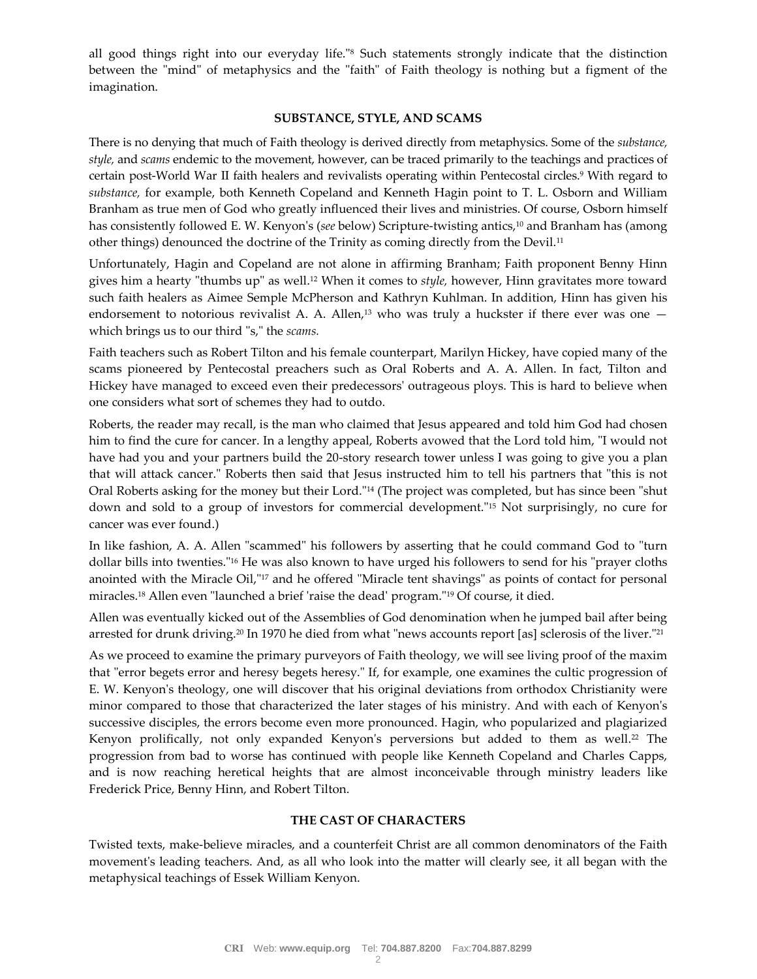all good things right into our everyday life."<sup>8</sup> Such statements strongly indicate that the distinction between the "mind" of metaphysics and the "faith" of Faith theology is nothing but a figment of the imagination.

#### **SUBSTANCE, STYLE, AND SCAMS**

There is no denying that much of Faith theology is derived directly from metaphysics. Some of the *substance, style,* and *scams* endemic to the movement, however, can be traced primarily to the teachings and practices of certain post-World War II faith healers and revivalists operating within Pentecostal circles.<sup>9</sup> With regard to *substance,* for example, both Kenneth Copeland and Kenneth Hagin point to T. L. Osborn and William Branham as true men of God who greatly influenced their lives and ministries. Of course, Osborn himself has consistently followed E. W. Kenyon's (*see* below) Scripture-twisting antics,<sup>10</sup> and Branham has (among other things) denounced the doctrine of the Trinity as coming directly from the Devil.<sup>11</sup>

Unfortunately, Hagin and Copeland are not alone in affirming Branham; Faith proponent Benny Hinn gives him a hearty "thumbs up" as well.<sup>12</sup> When it comes to *style,* however, Hinn gravitates more toward such faith healers as Aimee Semple McPherson and Kathryn Kuhlman. In addition, Hinn has given his endorsement to notorious revivalist A. A. Allen,<sup>13</sup> who was truly a huckster if there ever was one  $$ which brings us to our third "s," the *scams.*

Faith teachers such as Robert Tilton and his female counterpart, Marilyn Hickey, have copied many of the scams pioneered by Pentecostal preachers such as Oral Roberts and A. A. Allen. In fact, Tilton and Hickey have managed to exceed even their predecessors' outrageous ploys. This is hard to believe when one considers what sort of schemes they had to outdo.

Roberts, the reader may recall, is the man who claimed that Jesus appeared and told him God had chosen him to find the cure for cancer. In a lengthy appeal, Roberts avowed that the Lord told him, "I would not have had you and your partners build the 20-story research tower unless I was going to give you a plan that will attack cancer." Roberts then said that Jesus instructed him to tell his partners that "this is not Oral Roberts asking for the money but their Lord."<sup>14</sup> (The project was completed, but has since been "shut down and sold to a group of investors for commercial development."<sup>15</sup> Not surprisingly, no cure for cancer was ever found.)

In like fashion, A. A. Allen "scammed" his followers by asserting that he could command God to "turn dollar bills into twenties."<sup>16</sup> He was also known to have urged his followers to send for his "prayer cloths anointed with the Miracle Oil,"<sup>17</sup> and he offered "Miracle tent shavings" as points of contact for personal miracles.<sup>18</sup> Allen even "launched a brief 'raise the dead' program."<sup>19</sup> Of course, it died.

Allen was eventually kicked out of the Assemblies of God denomination when he jumped bail after being arrested for drunk driving.<sup>20</sup> In 1970 he died from what "news accounts report [as] sclerosis of the liver."<sup>21</sup>

As we proceed to examine the primary purveyors of Faith theology, we will see living proof of the maxim that "error begets error and heresy begets heresy." If, for example, one examines the cultic progression of E. W. Kenyon's theology, one will discover that his original deviations from orthodox Christianity were minor compared to those that characterized the later stages of his ministry. And with each of Kenyon's successive disciples, the errors become even more pronounced. Hagin, who popularized and plagiarized Kenyon prolifically, not only expanded Kenyon's perversions but added to them as well.<sup>22</sup> The progression from bad to worse has continued with people like Kenneth Copeland and Charles Capps, and is now reaching heretical heights that are almost inconceivable through ministry leaders like Frederick Price, Benny Hinn, and Robert Tilton.

#### **THE CAST OF CHARACTERS**

Twisted texts, make-believe miracles, and a counterfeit Christ are all common denominators of the Faith movement's leading teachers. And, as all who look into the matter will clearly see, it all began with the metaphysical teachings of Essek William Kenyon.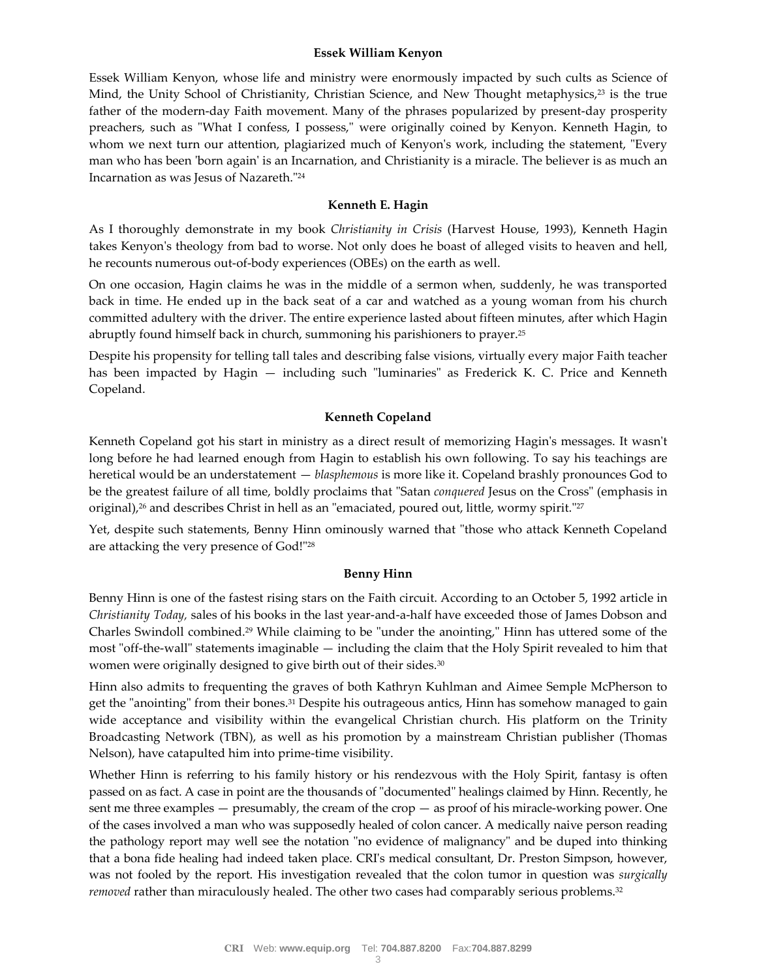#### **Essek William Kenyon**

Essek William Kenyon, whose life and ministry were enormously impacted by such cults as Science of Mind, the Unity School of Christianity, Christian Science, and New Thought metaphysics,<sup>23</sup> is the true father of the modern-day Faith movement. Many of the phrases popularized by present-day prosperity preachers, such as "What I confess, I possess," were originally coined by Kenyon. Kenneth Hagin, to whom we next turn our attention, plagiarized much of Kenyon's work, including the statement, "Every man who has been 'born again' is an Incarnation, and Christianity is a miracle. The believer is as much an Incarnation as was Jesus of Nazareth."<sup>24</sup>

#### **Kenneth E. Hagin**

As I thoroughly demonstrate in my book *Christianity in Crisis* (Harvest House, 1993), Kenneth Hagin takes Kenyon's theology from bad to worse. Not only does he boast of alleged visits to heaven and hell, he recounts numerous out-of-body experiences (OBEs) on the earth as well.

On one occasion, Hagin claims he was in the middle of a sermon when, suddenly, he was transported back in time. He ended up in the back seat of a car and watched as a young woman from his church committed adultery with the driver. The entire experience lasted about fifteen minutes, after which Hagin abruptly found himself back in church, summoning his parishioners to prayer.<sup>25</sup>

Despite his propensity for telling tall tales and describing false visions, virtually every major Faith teacher has been impacted by Hagin — including such "luminaries" as Frederick K. C. Price and Kenneth Copeland.

#### **Kenneth Copeland**

Kenneth Copeland got his start in ministry as a direct result of memorizing Hagin's messages. It wasn't long before he had learned enough from Hagin to establish his own following. To say his teachings are heretical would be an understatement — *blasphemous* is more like it. Copeland brashly pronounces God to be the greatest failure of all time, boldly proclaims that "Satan *conquered* Jesus on the Cross" (emphasis in original),<sup>26</sup> and describes Christ in hell as an "emaciated, poured out, little, wormy spirit."<sup>27</sup>

Yet, despite such statements, Benny Hinn ominously warned that "those who attack Kenneth Copeland are attacking the very presence of God!"<sup>28</sup>

## **Benny Hinn**

Benny Hinn is one of the fastest rising stars on the Faith circuit. According to an October 5, 1992 article in *Christianity Today,* sales of his books in the last year-and-a-half have exceeded those of James Dobson and Charles Swindoll combined.<sup>29</sup> While claiming to be "under the anointing," Hinn has uttered some of the most "off-the-wall" statements imaginable — including the claim that the Holy Spirit revealed to him that women were originally designed to give birth out of their sides.<sup>30</sup>

Hinn also admits to frequenting the graves of both Kathryn Kuhlman and Aimee Semple McPherson to get the "anointing" from their bones.<sup>31</sup> Despite his outrageous antics, Hinn has somehow managed to gain wide acceptance and visibility within the evangelical Christian church. His platform on the Trinity Broadcasting Network (TBN), as well as his promotion by a mainstream Christian publisher (Thomas Nelson), have catapulted him into prime-time visibility.

Whether Hinn is referring to his family history or his rendezvous with the Holy Spirit, fantasy is often passed on as fact. A case in point are the thousands of "documented" healings claimed by Hinn. Recently, he sent me three examples — presumably, the cream of the crop — as proof of his miracle-working power. One of the cases involved a man who was supposedly healed of colon cancer. A medically naive person reading the pathology report may well see the notation "no evidence of malignancy" and be duped into thinking that a bona fide healing had indeed taken place. CRI's medical consultant, Dr. Preston Simpson, however, was not fooled by the report. His investigation revealed that the colon tumor in question was *surgically removed* rather than miraculously healed. The other two cases had comparably serious problems.<sup>32</sup>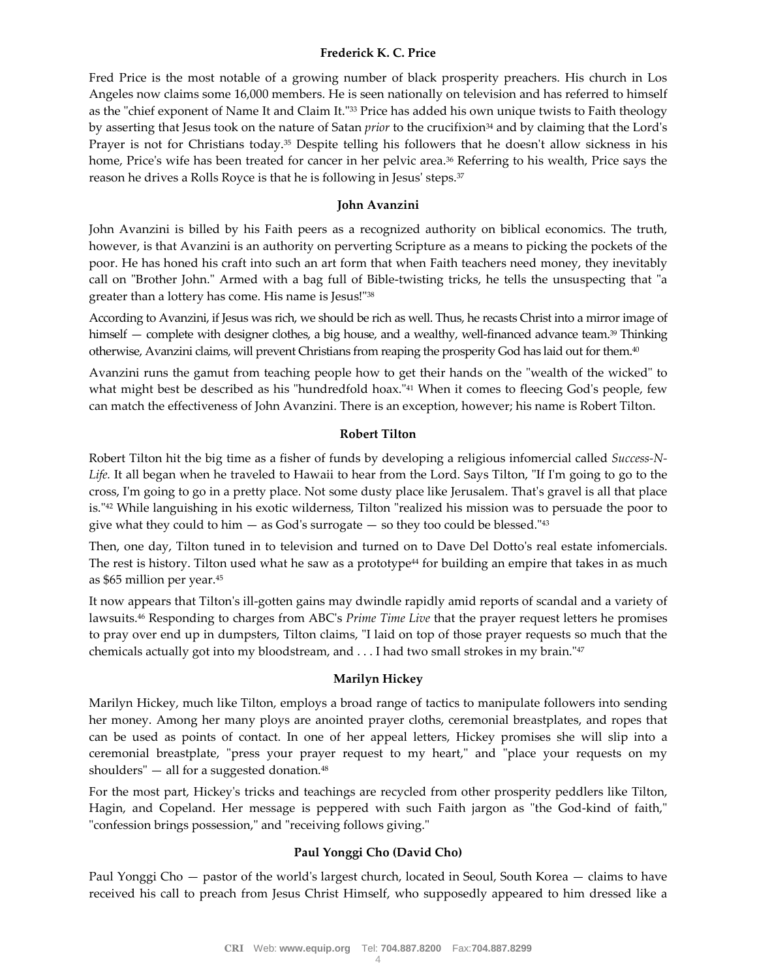## **Frederick K. C. Price**

Fred Price is the most notable of a growing number of black prosperity preachers. His church in Los Angeles now claims some 16,000 members. He is seen nationally on television and has referred to himself as the "chief exponent of Name It and Claim It."<sup>33</sup> Price has added his own unique twists to Faith theology by asserting that Jesus took on the nature of Satan *prior* to the crucifixion<sup>34</sup> and by claiming that the Lord's Prayer is not for Christians today.<sup>35</sup> Despite telling his followers that he doesn't allow sickness in his home, Price's wife has been treated for cancer in her pelvic area.<sup>36</sup> Referring to his wealth, Price says the reason he drives a Rolls Royce is that he is following in Jesus' steps.<sup>37</sup>

#### **John Avanzini**

John Avanzini is billed by his Faith peers as a recognized authority on biblical economics. The truth, however, is that Avanzini is an authority on perverting Scripture as a means to picking the pockets of the poor. He has honed his craft into such an art form that when Faith teachers need money, they inevitably call on "Brother John." Armed with a bag full of Bible-twisting tricks, he tells the unsuspecting that "a greater than a lottery has come. His name is Jesus!"<sup>38</sup>

According to Avanzini, if Jesus was rich, we should be rich as well. Thus, he recasts Christ into a mirror image of himself — complete with designer clothes, a big house, and a wealthy, well-financed advance team.<sup>39</sup> Thinking otherwise, Avanzini claims, will prevent Christians from reaping the prosperity God has laid out for them.<sup>40</sup>

Avanzini runs the gamut from teaching people how to get their hands on the "wealth of the wicked" to what might best be described as his "hundredfold hoax."<sup>41</sup> When it comes to fleecing God's people, few can match the effectiveness of John Avanzini. There is an exception, however; his name is Robert Tilton.

#### **Robert Tilton**

Robert Tilton hit the big time as a fisher of funds by developing a religious infomercial called *Success-N-Life.* It all began when he traveled to Hawaii to hear from the Lord. Says Tilton, "If I'm going to go to the cross, I'm going to go in a pretty place. Not some dusty place like Jerusalem. That's gravel is all that place is."<sup>42</sup> While languishing in his exotic wilderness, Tilton "realized his mission was to persuade the poor to give what they could to him  $-$  as God's surrogate  $-$  so they too could be blessed." $43$ 

Then, one day, Tilton tuned in to television and turned on to Dave Del Dotto's real estate infomercials. The rest is history. Tilton used what he saw as a prototype<sup>44</sup> for building an empire that takes in as much as \$65 million per year.<sup>45</sup>

It now appears that Tilton's ill-gotten gains may dwindle rapidly amid reports of scandal and a variety of lawsuits.<sup>46</sup> Responding to charges from ABC's *Prime Time Live* that the prayer request letters he promises to pray over end up in dumpsters, Tilton claims, "I laid on top of those prayer requests so much that the chemicals actually got into my bloodstream, and . . . I had two small strokes in my brain."<sup>47</sup>

## **Marilyn Hickey**

Marilyn Hickey, much like Tilton, employs a broad range of tactics to manipulate followers into sending her money. Among her many ploys are anointed prayer cloths, ceremonial breastplates, and ropes that can be used as points of contact. In one of her appeal letters, Hickey promises she will slip into a ceremonial breastplate, "press your prayer request to my heart," and "place your requests on my shoulders"  $-$  all for a suggested donation.<sup>48</sup>

For the most part, Hickey's tricks and teachings are recycled from other prosperity peddlers like Tilton, Hagin, and Copeland. Her message is peppered with such Faith jargon as "the God-kind of faith," "confession brings possession," and "receiving follows giving."

## **Paul Yonggi Cho (David Cho)**

Paul Yonggi Cho — pastor of the world's largest church, located in Seoul, South Korea — claims to have received his call to preach from Jesus Christ Himself, who supposedly appeared to him dressed like a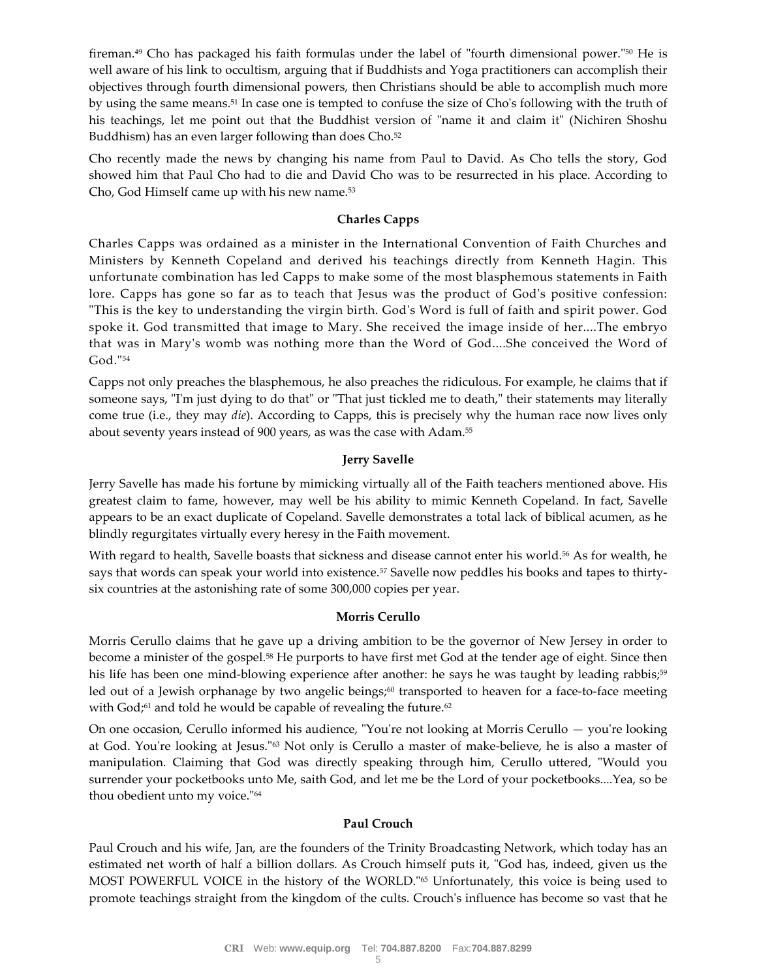fireman.<sup>49</sup> Cho has packaged his faith formulas under the label of "fourth dimensional power."<sup>50</sup> He is well aware of his link to occultism, arguing that if Buddhists and Yoga practitioners can accomplish their objectives through fourth dimensional powers, then Christians should be able to accomplish much more by using the same means.<sup>51</sup> In case one is tempted to confuse the size of Cho's following with the truth of his teachings, let me point out that the Buddhist version of "name it and claim it" (Nichiren Shoshu Buddhism) has an even larger following than does Cho.<sup>52</sup>

Cho recently made the news by changing his name from Paul to David. As Cho tells the story, God showed him that Paul Cho had to die and David Cho was to be resurrected in his place. According to Cho, God Himself came up with his new name.<sup>53</sup>

# **Charles Capps**

Charles Capps was ordained as a minister in the International Convention of Faith Churches and Ministers by Kenneth Copeland and derived his teachings directly from Kenneth Hagin. This unfortunate combination has led Capps to make some of the most blasphemous statements in Faith lore. Capps has gone so far as to teach that Jesus was the product of God's positive confession: "This is the key to understanding the virgin birth. God's Word is full of faith and spirit power. God spoke it. God transmitted that image to Mary. She received the image inside of her....The embryo that was in Mary's womb was nothing more than the Word of God....She conceived the Word of God."<sup>54</sup>

Capps not only preaches the blasphemous, he also preaches the ridiculous. For example, he claims that if someone says, "I'm just dying to do that" or "That just tickled me to death," their statements may literally come true (i.e., they may *die*). According to Capps, this is precisely why the human race now lives only about seventy years instead of 900 years, as was the case with Adam.<sup>55</sup>

# **Jerry Savelle**

Jerry Savelle has made his fortune by mimicking virtually all of the Faith teachers mentioned above. His greatest claim to fame, however, may well be his ability to mimic Kenneth Copeland. In fact, Savelle appears to be an exact duplicate of Copeland. Savelle demonstrates a total lack of biblical acumen, as he blindly regurgitates virtually every heresy in the Faith movement.

With regard to health, Savelle boasts that sickness and disease cannot enter his world.<sup>56</sup> As for wealth, he says that words can speak your world into existence.<sup>57</sup> Savelle now peddles his books and tapes to thirtysix countries at the astonishing rate of some 300,000 copies per year.

## **Morris Cerullo**

Morris Cerullo claims that he gave up a driving ambition to be the governor of New Jersey in order to become a minister of the gospel.<sup>58</sup> He purports to have first met God at the tender age of eight. Since then his life has been one mind-blowing experience after another: he says he was taught by leading rabbis;<sup>59</sup> led out of a Jewish orphanage by two angelic beings;<sup>60</sup> transported to heaven for a face-to-face meeting with God;<sup>61</sup> and told he would be capable of revealing the future.<sup>62</sup>

On one occasion, Cerullo informed his audience, "You're not looking at Morris Cerullo — you're looking at God. You're looking at Jesus."<sup>63</sup> Not only is Cerullo a master of make-believe, he is also a master of manipulation. Claiming that God was directly speaking through him, Cerullo uttered, "Would you surrender your pocketbooks unto Me, saith God, and let me be the Lord of your pocketbooks....Yea, so be thou obedient unto my voice."<sup>64</sup>

## **Paul Crouch**

Paul Crouch and his wife, Jan, are the founders of the Trinity Broadcasting Network, which today has an estimated net worth of half a billion dollars. As Crouch himself puts it, "God has, indeed, given us the MOST POWERFUL VOICE in the history of the WORLD."<sup>65</sup> Unfortunately, this voice is being used to promote teachings straight from the kingdom of the cults. Crouch's influence has become so vast that he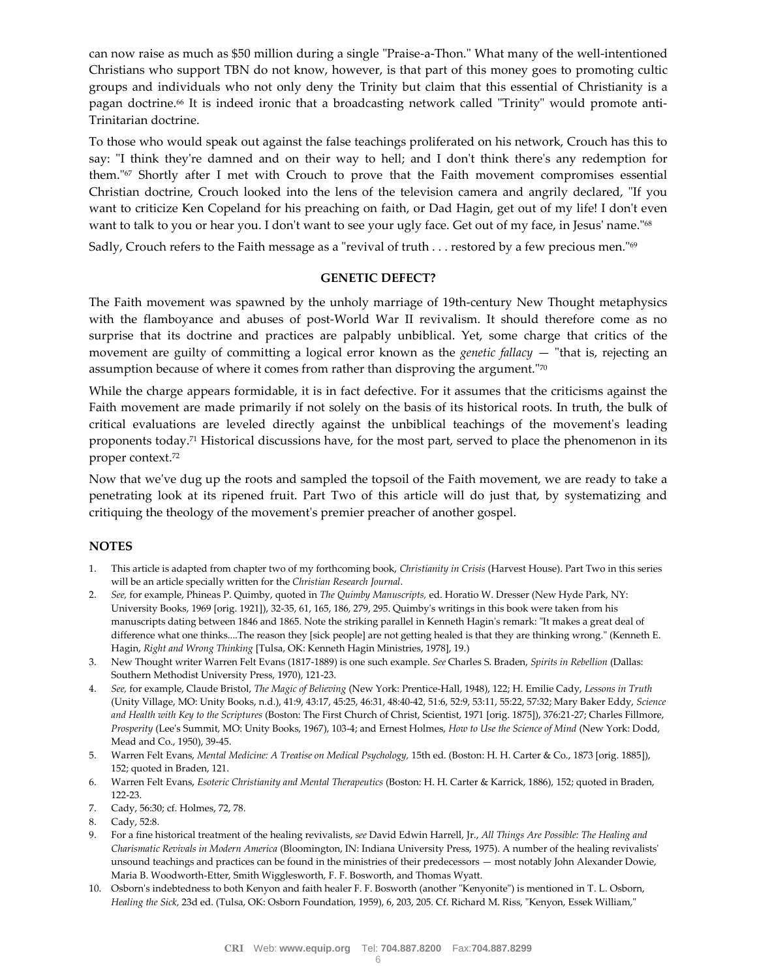can now raise as much as \$50 million during a single "Praise-a-Thon." What many of the well-intentioned Christians who support TBN do not know, however, is that part of this money goes to promoting cultic groups and individuals who not only deny the Trinity but claim that this essential of Christianity is a pagan doctrine.<sup>66</sup> It is indeed ironic that a broadcasting network called "Trinity" would promote anti-Trinitarian doctrine.

To those who would speak out against the false teachings proliferated on his network, Crouch has this to say: "I think they're damned and on their way to hell; and I don't think there's any redemption for them."<sup>67</sup> Shortly after I met with Crouch to prove that the Faith movement compromises essential Christian doctrine, Crouch looked into the lens of the television camera and angrily declared, "If you want to criticize Ken Copeland for his preaching on faith, or Dad Hagin, get out of my life! I don't even want to talk to you or hear you. I don't want to see your ugly face. Get out of my face, in Jesus' name."<sup>68</sup>

Sadly, Crouch refers to the Faith message as a "revival of truth . . . restored by a few precious men."<sup>69</sup>

#### **GENETIC DEFECT?**

The Faith movement was spawned by the unholy marriage of 19th-century New Thought metaphysics with the flamboyance and abuses of post-World War II revivalism. It should therefore come as no surprise that its doctrine and practices are palpably unbiblical. Yet, some charge that critics of the movement are guilty of committing a logical error known as the *genetic fallacy* — "that is, rejecting an assumption because of where it comes from rather than disproving the argument."<sup>70</sup>

While the charge appears formidable, it is in fact defective. For it assumes that the criticisms against the Faith movement are made primarily if not solely on the basis of its historical roots. In truth, the bulk of critical evaluations are leveled directly against the unbiblical teachings of the movement's leading proponents today.<sup>71</sup> Historical discussions have, for the most part, served to place the phenomenon in its proper context.<sup>72</sup>

Now that we've dug up the roots and sampled the topsoil of the Faith movement, we are ready to take a penetrating look at its ripened fruit. Part Two of this article will do just that, by systematizing and critiquing the theology of the movement's premier preacher of another gospel.

## **NOTES**

- 1. This article is adapted from chapter two of my forthcoming book, *Christianity in Crisis* (Harvest House). Part Two in this series will be an article specially written for the *Christian Research Journal*.
- 2. *See,* for example, Phineas P. Quimby, quoted in *The Quimby Manuscripts,* ed. Horatio W. Dresser (New Hyde Park, NY: University Books, 1969 [orig. 1921]), 32-35, 61, 165, 186, 279, 295. Quimby's writings in this book were taken from his manuscripts dating between 1846 and 1865. Note the striking parallel in Kenneth Hagin's remark: "It makes a great deal of difference what one thinks....The reason they [sick people] are not getting healed is that they are thinking wrong." (Kenneth E. Hagin, *Right and Wrong Thinking* [Tulsa, OK: Kenneth Hagin Ministries, 1978], 19.)
- 3. New Thought writer Warren Felt Evans (1817-1889) is one such example. *See* Charles S. Braden, *Spirits in Rebellion* (Dallas: Southern Methodist University Press, 1970), 121-23.
- 4. *See,* for example, Claude Bristol, *The Magic of Believing* (New York: Prentice-Hall, 1948), 122; H. Emilie Cady, *Lessons in Truth* (Unity Village, MO: Unity Books, n.d.), 41:9, 43:17, 45:25, 46:31, 48:40-42, 51:6, 52:9, 53:11, 55:22, 57:32; Mary Baker Eddy, *Science and Health with Key to the Scriptures* (Boston: The First Church of Christ, Scientist, 1971 [orig. 1875]), 376:21-27; Charles Fillmore, *Prosperity* (Lee's Summit, MO: Unity Books, 1967), 103-4; and Ernest Holmes, *How to Use the Science of Mind* (New York: Dodd, Mead and Co., 1950), 39-45.
- 5. Warren Felt Evans, *Mental Medicine: A Treatise on Medical Psychology,* 15th ed. (Boston: H. H. Carter & Co., 1873 [orig. 1885]), 152; quoted in Braden, 121.
- 6. Warren Felt Evans, *Esoteric Christianity and Mental Therapeutics* (Boston: H. H. Carter & Karrick, 1886), 152; quoted in Braden, 122-23.
- 7. Cady, 56:30; cf. Holmes, 72, 78.
- 8. Cady, 52:8.
- 9. For a fine historical treatment of the healing revivalists, *see* David Edwin Harrell, Jr., *All Things Are Possible: The Healing and Charismatic Revivals in Modern America* (Bloomington, IN: Indiana University Press, 1975). A number of the healing revivalists' unsound teachings and practices can be found in the ministries of their predecessors — most notably John Alexander Dowie, Maria B. Woodworth-Etter, Smith Wigglesworth, F. F. Bosworth, and Thomas Wyatt.
- 10. Osborn's indebtedness to both Kenyon and faith healer F. F. Bosworth (another "Kenyonite") is mentioned in T. L. Osborn, *Healing the Sick,* 23d ed. (Tulsa, OK: Osborn Foundation, 1959), 6, 203, 205. Cf. Richard M. Riss, "Kenyon, Essek William,"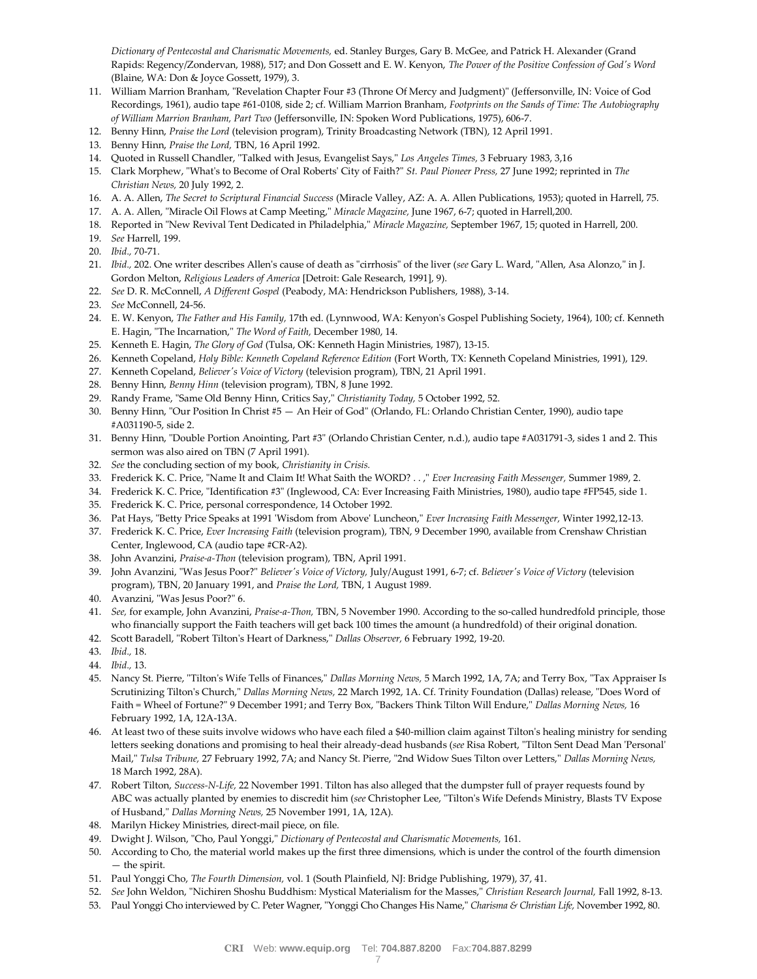*Dictionary of Pentecostal and Charismatic Movements,* ed. Stanley Burges, Gary B. McGee, and Patrick H. Alexander (Grand Rapids: Regency/Zondervan, 1988), 517; and Don Gossett and E. W. Kenyon, *The Power of the Positive Confession of God's Word* (Blaine, WA: Don & Joyce Gossett, 1979), 3.

- 11. William Marrion Branham, "Revelation Chapter Four #3 (Throne Of Mercy and Judgment)" (Jeffersonville, IN: Voice of God Recordings, 1961), audio tape #61-0108, side 2; cf. William Marrion Branham, *Footprints on the Sands of Time: The Autobiography of William Marrion Branham, Part Two* (Jeffersonville, IN: Spoken Word Publications, 1975), 606-7.
- 12. Benny Hinn, *Praise the Lord* (television program), Trinity Broadcasting Network (TBN), 12 April 1991.
- 13. Benny Hinn, *Praise the Lord,* TBN, 16 April 1992.
- 14. Quoted in Russell Chandler, "Talked with Jesus, Evangelist Says," *Los Angeles Times,* 3 February 1983, 3,16
- 15. Clark Morphew, "What's to Become of Oral Roberts' City of Faith?" *St. Paul Pioneer Press,* 27 June 1992; reprinted in *The Christian News,* 20 July 1992, 2.
- 16. A. A. Allen, *The Secret to Scriptural Financial Success* (Miracle Valley, AZ: A. A. Allen Publications, 1953); quoted in Harrell, 75.
- 17. A. A. Allen, "Miracle Oil Flows at Camp Meeting," *Miracle Magazine,* June 1967, 6-7; quoted in Harrell,200.
- 18. Reported in "New Revival Tent Dedicated in Philadelphia," *Miracle Magazine,* September 1967, 15; quoted in Harrell, 200.
- 19. *See* Harrell, 199.
- 20. *Ibid.,* 70-71.
- 21. *Ibid.,* 202. One writer describes Allen's cause of death as "cirrhosis" of the liver (*see* Gary L. Ward, "Allen, Asa Alonzo," in J. Gordon Melton, *Religious Leaders of America* [Detroit: Gale Research, 1991], 9).
- 22. *See* D. R. McConnell, *A Different Gospel* (Peabody, MA: Hendrickson Publishers, 1988), 3-14.
- 23. *See* McConnell, 24-56.
- 24. E. W. Kenyon, *The Father and His Family,* 17th ed. (Lynnwood, WA: Kenyon's Gospel Publishing Society, 1964), 100; cf. Kenneth E. Hagin, "The Incarnation," *The Word of Faith,* December 1980, 14.
- 25. Kenneth E. Hagin, *The Glory of God* (Tulsa, OK: Kenneth Hagin Ministries, 1987), 13-15.
- 26. Kenneth Copeland, *Holy Bible: Kenneth Copeland Reference Edition* (Fort Worth, TX: Kenneth Copeland Ministries, 1991), 129.
- 27. Kenneth Copeland, *Believer's Voice of Victory* (television program), TBN, 21 April 1991.
- 28. Benny Hinn, *Benny Hinn* (television program), TBN, 8 June 1992.
- 29. Randy Frame, "Same Old Benny Hinn, Critics Say," *Christianity Today,* 5 October 1992, 52.
- 30. Benny Hinn, "Our Position In Christ #5 An Heir of God" (Orlando, FL: Orlando Christian Center, 1990), audio tape #A031190-5, side 2.
- 31. Benny Hinn, "Double Portion Anointing, Part #3" (Orlando Christian Center, n.d.), audio tape #A031791-3, sides 1 and 2. This sermon was also aired on TBN (7 April 1991).
- 32. *See* the concluding section of my book, *Christianity in Crisis.*
- 33. Frederick K. C. Price, "Name It and Claim It! What Saith the WORD? . . ," *Ever Increasing Faith Messenger,* Summer 1989, 2.
- 34. Frederick K. C. Price, "Identification #3" (Inglewood, CA: Ever Increasing Faith Ministries, 1980), audio tape #FP545, side 1.
- 35. Frederick K. C. Price, personal correspondence, 14 October 1992.
- 36. Pat Hays, "Betty Price Speaks at 1991 'Wisdom from Above' Luncheon," *Ever Increasing Faith Messenger,* Winter 1992,12-13.
- 37. Frederick K. C. Price, *Ever Increasing Faith* (television program), TBN, 9 December 1990, available from Crenshaw Christian Center, Inglewood, CA (audio tape #CR-A2).
- 38. John Avanzini, *Praise-a-Thon* (television program), TBN, April 1991.
- 39. John Avanzini, "Was Jesus Poor?" *Believer's Voice of Victory,* July/August 1991, 6-7; cf. *Believer's Voice of Victory* (television program), TBN, 20 January 1991, and *Praise the Lord,* TBN, 1 August 1989.
- 40. Avanzini, "Was Jesus Poor?" 6.
- 41. *See,* for example, John Avanzini, *Praise-a-Thon,* TBN, 5 November 1990. According to the so-called hundredfold principle, those who financially support the Faith teachers will get back 100 times the amount (a hundredfold) of their original donation.
- 42. Scott Baradell, "Robert Tilton's Heart of Darkness," *Dallas Observer,* 6 February 1992, 19-20.
- 43. *Ibid.,* 18.
- 44. *Ibid.,* 13.
- 45. Nancy St. Pierre, "Tilton's Wife Tells of Finances," *Dallas Morning News,* 5 March 1992, 1A, 7A; and Terry Box, "Tax Appraiser Is Scrutinizing Tilton's Church," *Dallas Morning News,* 22 March 1992, 1A. Cf. Trinity Foundation (Dallas) release, "Does Word of Faith = Wheel of Fortune?" 9 December 1991; and Terry Box, "Backers Think Tilton Will Endure," *Dallas Morning News,* 16 February 1992, 1A, 12A-13A.
- 46. At least two of these suits involve widows who have each filed a \$40-million claim against Tilton's healing ministry for sending letters seeking donations and promising to heal their already-dead husbands (*see* Risa Robert, "Tilton Sent Dead Man 'Personal' Mail," *Tulsa Tribune,* 27 February 1992, 7A; and Nancy St. Pierre, "2nd Widow Sues Tilton over Letters," *Dallas Morning News,* 18 March 1992, 28A).
- 47. Robert Tilton, *Success-N-Life,* 22 November 1991. Tilton has also alleged that the dumpster full of prayer requests found by ABC was actually planted by enemies to discredit him (*see* Christopher Lee, "Tilton's Wife Defends Ministry, Blasts TV Expose of Husband," *Dallas Morning News,* 25 November 1991, 1A, 12A).
- 48. Marilyn Hickey Ministries, direct-mail piece, on file.
- 49. Dwight J. Wilson, "Cho, Paul Yonggi," *Dictionary of Pentecostal and Charismatic Movements,* 161.
- 50. According to Cho, the material world makes up the first three dimensions, which is under the control of the fourth dimension — the spirit.
- 51. Paul Yonggi Cho, *The Fourth Dimension,* vol. 1 (South Plainfield, NJ: Bridge Publishing, 1979), 37, 41.
- 52. *See* John Weldon, "Nichiren Shoshu Buddhism: Mystical Materialism for the Masses," *Christian Research Journal,* Fall 1992, 8-13.
- 53. Paul Yonggi Cho interviewed by C. Peter Wagner, "Yonggi Cho Changes His Name," *Charisma & Christian Life,* November 1992, 80.